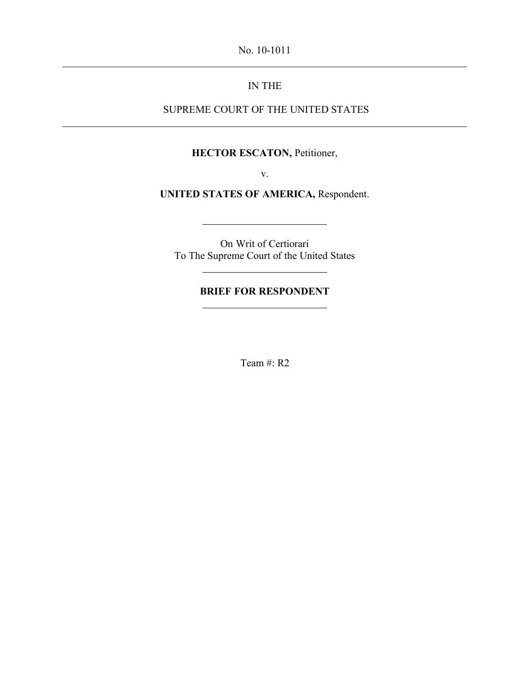No. 10-1011

## IN THE

## SUPREME COURT OF THE UNITED STATES

### **HECTOR ESCATON,** Petitioner,

v.

**UNITED STATES OF AMERICA,** Respondent.

On Writ of Certiorari To The Supreme Court of the United States

## **BRIEF FOR RESPONDENT**

Team #: R2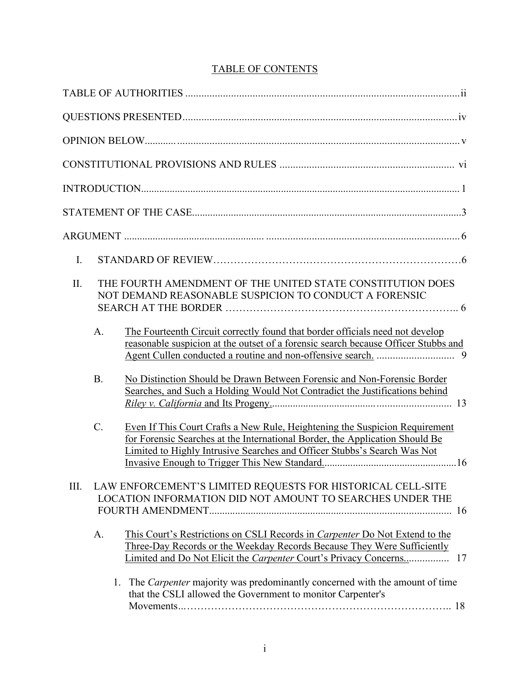# TABLE OF CONTENTS

| $\mathbf{I}$ . |                 |                                                                                                                                                                                                                                         |  |
|----------------|-----------------|-----------------------------------------------------------------------------------------------------------------------------------------------------------------------------------------------------------------------------------------|--|
| II.            | A.              | THE FOURTH AMENDMENT OF THE UNITED STATE CONSTITUTION DOES<br>NOT DEMAND REASONABLE SUSPICION TO CONDUCT A FORENSIC<br>The Fourteenth Circuit correctly found that border officials need not develop                                    |  |
|                |                 | reasonable suspicion at the outset of a forensic search because Officer Stubbs and                                                                                                                                                      |  |
|                | B.              | No Distinction Should be Drawn Between Forensic and Non-Forensic Border<br>Searches, and Such a Holding Would Not Contradict the Justifications behind                                                                                  |  |
|                | $\mathcal{C}$ . | Even If This Court Crafts a New Rule, Heightening the Suspicion Requirement<br>for Forensic Searches at the International Border, the Application Should Be<br>Limited to Highly Intrusive Searches and Officer Stubbs's Search Was Not |  |
| III.           |                 | LAW ENFORCEMENT'S LIMITED REQUESTS FOR HISTORICAL CELL-SITE<br>LOCATION INFORMATION DID NOT AMOUNT TO SEARCHES UNDER THE                                                                                                                |  |
|                | A.              | This Court's Restrictions on CSLI Records in <i>Carpenter</i> Do Not Extend to the<br>Three-Day Records or the Weekday Records Because They Were Sufficiently                                                                           |  |
|                |                 | 1. The <i>Carpenter</i> majority was predominantly concerned with the amount of time<br>that the CSLI allowed the Government to monitor Carpenter's                                                                                     |  |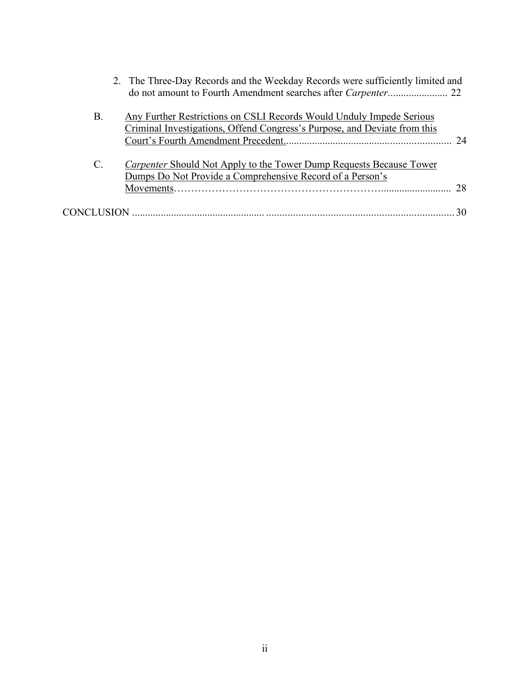|                 | 2. The Three-Day Records and the Weekday Records were sufficiently limited and                                                                    |  |
|-----------------|---------------------------------------------------------------------------------------------------------------------------------------------------|--|
| Β.              | Any Further Restrictions on CSLI Records Would Unduly Impede Serious<br>Criminal Investigations, Offend Congress's Purpose, and Deviate from this |  |
| $\mathcal{C}$ . | <i>Carpenter</i> Should Not Apply to the Tower Dump Requests Because Tower<br>Dumps Do Not Provide a Comprehensive Record of a Person's           |  |
|                 |                                                                                                                                                   |  |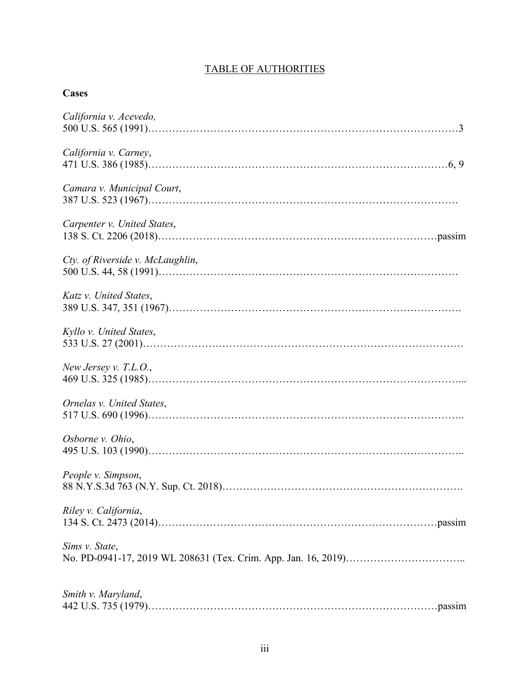# TABLE OF AUTHORITIES

## **Cases**

| California v. Acevedo,           |
|----------------------------------|
| California v. Carney,            |
| Camara v. Municipal Court,       |
| Carpenter v. United States,      |
| Cty. of Riverside v. McLaughlin, |
| Katz v. United States,           |
| Kyllo v. United States,          |
| New Jersey v. T.L.O.,            |
| Ornelas v. United States,        |
| Osborne v. Ohio,                 |
| People v. Simpson,               |
| Riley v. California,             |
| Sims v. State,                   |
| Smith v. Maryland,               |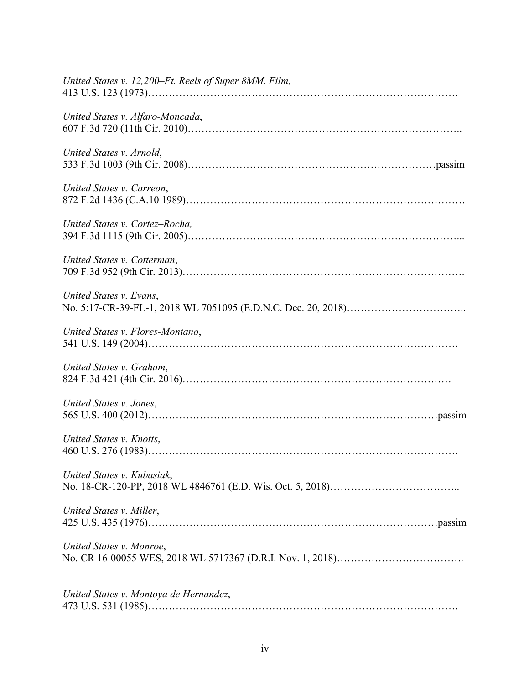| United States v. 12,200–Ft. Reels of Super 8MM. Film, |
|-------------------------------------------------------|
| United States v. Alfaro-Moncada,                      |
| United States v. Arnold,                              |
| United States v. Carreon,                             |
| United States v. Cortez-Rocha,                        |
| United States v. Cotterman,                           |
| United States v. Evans,                               |
| United States v. Flores-Montano,                      |
| United States v. Graham,                              |
| United States v. Jones,                               |
| United States v. Knotts,                              |
| United States v. Kubasiak,                            |
| United States v. Miller,                              |
| United States v. Monroe,                              |
| United States v. Montoya de Hernandez,                |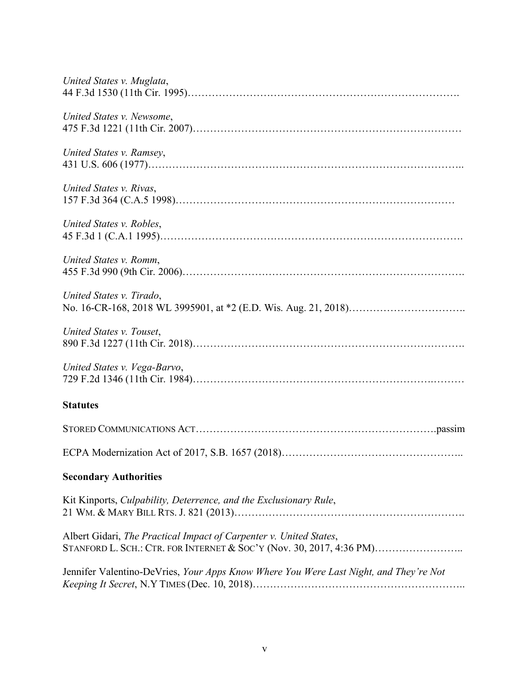| United States v. Muglata,                                                             |
|---------------------------------------------------------------------------------------|
| United States v. Newsome,                                                             |
| United States v. Ramsey,                                                              |
| United States v. Rivas,                                                               |
| United States v. Robles,                                                              |
| United States v. Romm,                                                                |
| United States v. Tirado,                                                              |
| United States v. Touset,                                                              |
| United States v. Vega-Barvo,                                                          |
| <b>Statutes</b>                                                                       |
|                                                                                       |
|                                                                                       |
| <b>Secondary Authorities</b>                                                          |
| Kit Kinports, Culpability, Deterrence, and the Exclusionary Rule,                     |
| Albert Gidari, The Practical Impact of Carpenter v. United States,                    |
| Jennifer Valentino-DeVries, Your Apps Know Where You Were Last Night, and They're Not |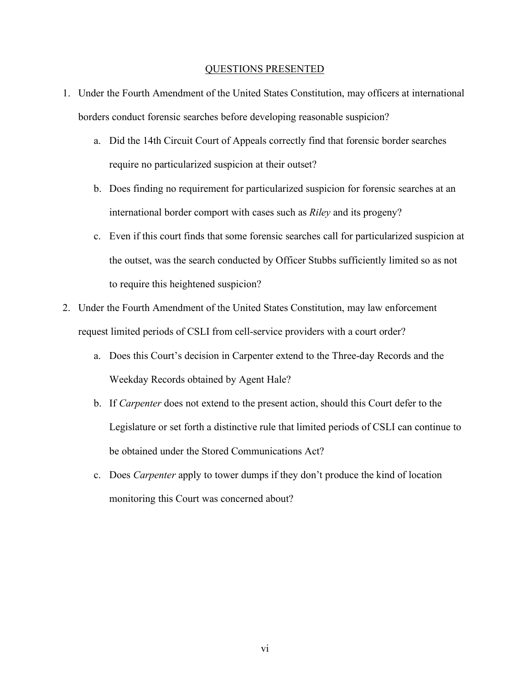#### QUESTIONS PRESENTED

- 1. Under the Fourth Amendment of the United States Constitution, may officers at international borders conduct forensic searches before developing reasonable suspicion?
	- a. Did the 14th Circuit Court of Appeals correctly find that forensic border searches require no particularized suspicion at their outset?
	- b. Does finding no requirement for particularized suspicion for forensic searches at an international border comport with cases such as *Riley* and its progeny?
	- c. Even if this court finds that some forensic searches call for particularized suspicion at the outset, was the search conducted by Officer Stubbs sufficiently limited so as not to require this heightened suspicion?
- 2. Under the Fourth Amendment of the United States Constitution, may law enforcement request limited periods of CSLI from cell-service providers with a court order?
	- a. Does this Court's decision in Carpenter extend to the Three-day Records and the Weekday Records obtained by Agent Hale?
	- b. If *Carpenter* does not extend to the present action, should this Court defer to the Legislature or set forth a distinctive rule that limited periods of CSLI can continue to be obtained under the Stored Communications Act?
	- c. Does *Carpenter* apply to tower dumps if they don't produce the kind of location monitoring this Court was concerned about?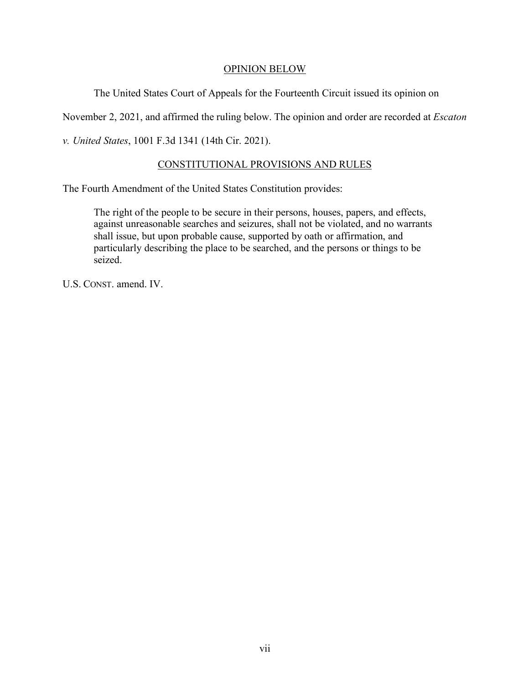### OPINION BELOW

The United States Court of Appeals for the Fourteenth Circuit issued its opinion on

November 2, 2021, and affirmed the ruling below. The opinion and order are recorded at *Escaton* 

*v. United States*, 1001 F.3d 1341 (14th Cir. 2021).

## CONSTITUTIONAL PROVISIONS AND RULES

The Fourth Amendment of the United States Constitution provides:

The right of the people to be secure in their persons, houses, papers, and effects, against unreasonable searches and seizures, shall not be violated, and no warrants shall issue, but upon probable cause, supported by oath or affirmation, and particularly describing the place to be searched, and the persons or things to be seized.

U.S. CONST. amend. IV.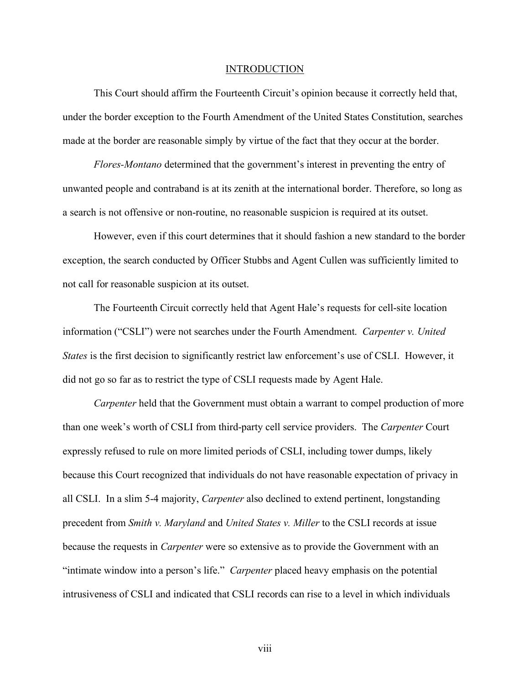#### **INTRODUCTION**

This Court should affirm the Fourteenth Circuit's opinion because it correctly held that, under the border exception to the Fourth Amendment of the United States Constitution, searches made at the border are reasonable simply by virtue of the fact that they occur at the border.

*Flores-Montano* determined that the government's interest in preventing the entry of unwanted people and contraband is at its zenith at the international border. Therefore, so long as a search is not offensive or non-routine, no reasonable suspicion is required at its outset.

However, even if this court determines that it should fashion a new standard to the border exception, the search conducted by Officer Stubbs and Agent Cullen was sufficiently limited to not call for reasonable suspicion at its outset.

The Fourteenth Circuit correctly held that Agent Hale's requests for cell-site location information ("CSLI") were not searches under the Fourth Amendment. *Carpenter v. United States* is the first decision to significantly restrict law enforcement's use of CSLI. However, it did not go so far as to restrict the type of CSLI requests made by Agent Hale.

*Carpenter* held that the Government must obtain a warrant to compel production of more than one week's worth of CSLI from third-party cell service providers. The *Carpenter* Court expressly refused to rule on more limited periods of CSLI, including tower dumps, likely because this Court recognized that individuals do not have reasonable expectation of privacy in all CSLI. In a slim 5-4 majority, *Carpenter* also declined to extend pertinent, longstanding precedent from *Smith v. Maryland* and *United States v. Miller* to the CSLI records at issue because the requests in *Carpenter* were so extensive as to provide the Government with an "intimate window into a person's life." *Carpenter* placed heavy emphasis on the potential intrusiveness of CSLI and indicated that CSLI records can rise to a level in which individuals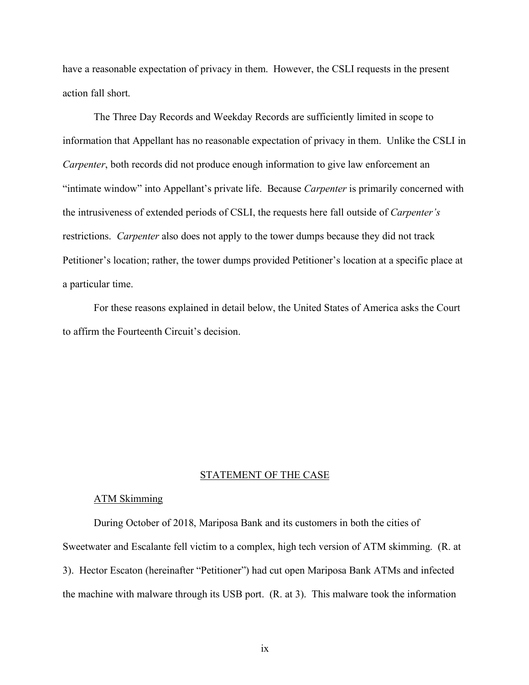have a reasonable expectation of privacy in them. However, the CSLI requests in the present action fall short.

The Three Day Records and Weekday Records are sufficiently limited in scope to information that Appellant has no reasonable expectation of privacy in them. Unlike the CSLI in *Carpenter*, both records did not produce enough information to give law enforcement an "intimate window" into Appellant's private life. Because *Carpenter* is primarily concerned with the intrusiveness of extended periods of CSLI, the requests here fall outside of *Carpenter's* restrictions. *Carpenter* also does not apply to the tower dumps because they did not track Petitioner's location; rather, the tower dumps provided Petitioner's location at a specific place at a particular time.

For these reasons explained in detail below, the United States of America asks the Court to affirm the Fourteenth Circuit's decision.

#### STATEMENT OF THE CASE

### ATM Skimming

During October of 2018, Mariposa Bank and its customers in both the cities of Sweetwater and Escalante fell victim to a complex, high tech version of ATM skimming. (R. at 3). Hector Escaton (hereinafter "Petitioner") had cut open Mariposa Bank ATMs and infected the machine with malware through its USB port. (R. at 3). This malware took the information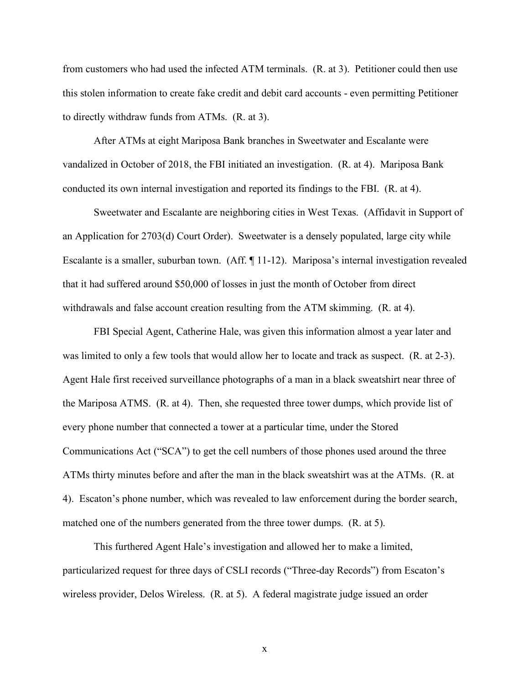from customers who had used the infected ATM terminals. (R. at 3). Petitioner could then use this stolen information to create fake credit and debit card accounts - even permitting Petitioner to directly withdraw funds from ATMs. (R. at 3).

After ATMs at eight Mariposa Bank branches in Sweetwater and Escalante were vandalized in October of 2018, the FBI initiated an investigation. (R. at 4). Mariposa Bank conducted its own internal investigation and reported its findings to the FBI. (R. at 4).

Sweetwater and Escalante are neighboring cities in West Texas. (Affidavit in Support of an Application for 2703(d) Court Order). Sweetwater is a densely populated, large city while Escalante is a smaller, suburban town. (Aff. ¶ 11-12). Mariposa's internal investigation revealed that it had suffered around \$50,000 of losses in just the month of October from direct withdrawals and false account creation resulting from the ATM skimming. (R. at 4).

FBI Special Agent, Catherine Hale, was given this information almost a year later and was limited to only a few tools that would allow her to locate and track as suspect. (R. at 2-3). Agent Hale first received surveillance photographs of a man in a black sweatshirt near three of the Mariposa ATMS. (R. at 4). Then, she requested three tower dumps, which provide list of every phone number that connected a tower at a particular time, under the Stored Communications Act ("SCA") to get the cell numbers of those phones used around the three ATMs thirty minutes before and after the man in the black sweatshirt was at the ATMs. (R. at 4). Escaton's phone number, which was revealed to law enforcement during the border search, matched one of the numbers generated from the three tower dumps. (R. at 5).

This furthered Agent Hale's investigation and allowed her to make a limited, particularized request for three days of CSLI records ("Three-day Records") from Escaton's wireless provider, Delos Wireless. (R. at 5). A federal magistrate judge issued an order

x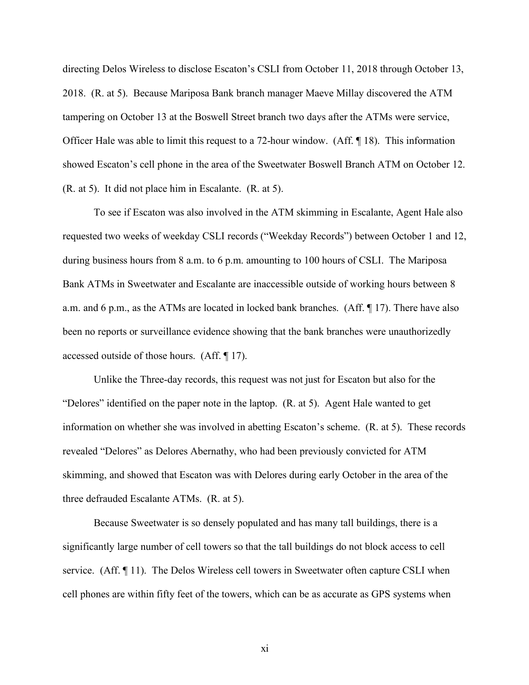directing Delos Wireless to disclose Escaton's CSLI from October 11, 2018 through October 13, 2018. (R. at 5). Because Mariposa Bank branch manager Maeve Millay discovered the ATM tampering on October 13 at the Boswell Street branch two days after the ATMs were service, Officer Hale was able to limit this request to a 72-hour window. (Aff. ¶ 18). This information showed Escaton's cell phone in the area of the Sweetwater Boswell Branch ATM on October 12. (R. at 5). It did not place him in Escalante. (R. at 5).

To see if Escaton was also involved in the ATM skimming in Escalante, Agent Hale also requested two weeks of weekday CSLI records ("Weekday Records") between October 1 and 12, during business hours from 8 a.m. to 6 p.m. amounting to 100 hours of CSLI. The Mariposa Bank ATMs in Sweetwater and Escalante are inaccessible outside of working hours between 8 a.m. and 6 p.m., as the ATMs are located in locked bank branches. (Aff. ¶ 17). There have also been no reports or surveillance evidence showing that the bank branches were unauthorizedly accessed outside of those hours. (Aff. ¶ 17).

Unlike the Three-day records, this request was not just for Escaton but also for the "Delores" identified on the paper note in the laptop. (R. at 5). Agent Hale wanted to get information on whether she was involved in abetting Escaton's scheme. (R. at 5). These records revealed "Delores" as Delores Abernathy, who had been previously convicted for ATM skimming, and showed that Escaton was with Delores during early October in the area of the three defrauded Escalante ATMs. (R. at 5).

Because Sweetwater is so densely populated and has many tall buildings, there is a significantly large number of cell towers so that the tall buildings do not block access to cell service. (Aff. ¶ 11). The Delos Wireless cell towers in Sweetwater often capture CSLI when cell phones are within fifty feet of the towers, which can be as accurate as GPS systems when

xi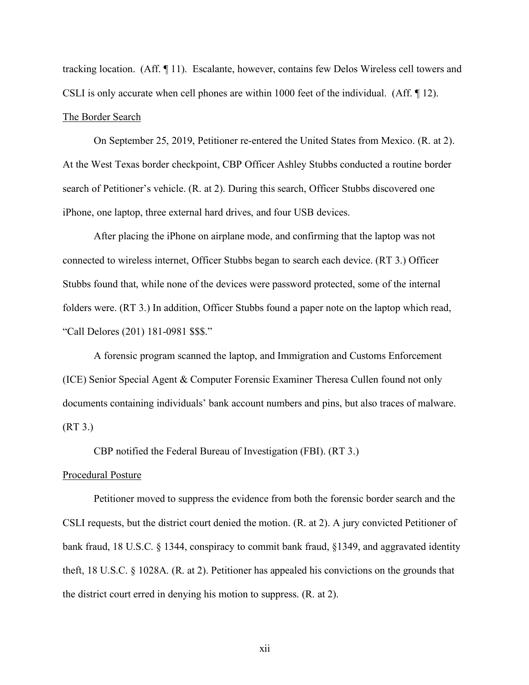tracking location. (Aff. ¶ 11). Escalante, however, contains few Delos Wireless cell towers and CSLI is only accurate when cell phones are within 1000 feet of the individual. (Aff. ¶ 12). The Border Search

On September 25, 2019, Petitioner re-entered the United States from Mexico. (R. at 2). At the West Texas border checkpoint, CBP Officer Ashley Stubbs conducted a routine border search of Petitioner's vehicle. (R. at 2). During this search, Officer Stubbs discovered one iPhone, one laptop, three external hard drives, and four USB devices.

After placing the iPhone on airplane mode, and confirming that the laptop was not connected to wireless internet, Officer Stubbs began to search each device. (RT 3.) Officer Stubbs found that, while none of the devices were password protected, some of the internal folders were. (RT 3.) In addition, Officer Stubbs found a paper note on the laptop which read, "Call Delores (201) 181-0981 \$\$\$."

A forensic program scanned the laptop, and Immigration and Customs Enforcement (ICE) Senior Special Agent & Computer Forensic Examiner Theresa Cullen found not only documents containing individuals' bank account numbers and pins, but also traces of malware. (RT 3.)

CBP notified the Federal Bureau of Investigation (FBI). (RT 3.)

#### Procedural Posture

Petitioner moved to suppress the evidence from both the forensic border search and the CSLI requests, but the district court denied the motion. (R. at 2). A jury convicted Petitioner of bank fraud, 18 U.S.C. § 1344, conspiracy to commit bank fraud, §1349, and aggravated identity theft, 18 U.S.C. § 1028A. (R. at 2). Petitioner has appealed his convictions on the grounds that the district court erred in denying his motion to suppress. (R. at 2).

xii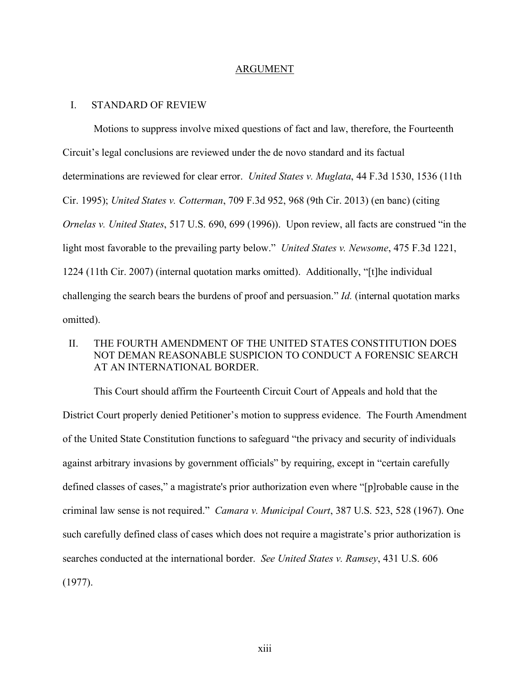#### ARGUMENT

### I. STANDARD OF REVIEW

Motions to suppress involve mixed questions of fact and law, therefore, the Fourteenth Circuit's legal conclusions are reviewed under the de novo standard and its factual determinations are reviewed for clear error. *United States v. Muglata*, 44 F.3d 1530, 1536 (11th Cir. 1995); *United States v. Cotterman*, 709 F.3d 952, 968 (9th Cir. 2013) (en banc) (citing *Ornelas v. United States*, 517 U.S. 690, 699 (1996)). Upon review, all facts are construed "in the light most favorable to the prevailing party below." *United States v. Newsome*, 475 F.3d 1221, 1224 (11th Cir. 2007) (internal quotation marks omitted). Additionally, "[t]he individual challenging the search bears the burdens of proof and persuasion." *Id.* (internal quotation marks omitted).

### II. THE FOURTH AMENDMENT OF THE UNITED STATES CONSTITUTION DOES NOT DEMAN REASONABLE SUSPICION TO CONDUCT A FORENSIC SEARCH AT AN INTERNATIONAL BORDER.

This Court should affirm the Fourteenth Circuit Court of Appeals and hold that the District Court properly denied Petitioner's motion to suppress evidence. The Fourth Amendment of the United State Constitution functions to safeguard "the privacy and security of individuals against arbitrary invasions by government officials" by requiring, except in "certain carefully defined classes of cases," a magistrate's prior authorization even where "[p]robable cause in the criminal law sense is not required." *Camara v. Municipal Court*, 387 U.S. 523, 528 (1967). One such carefully defined class of cases which does not require a magistrate's prior authorization is searches conducted at the international border. *See United States v. Ramsey*, 431 U.S. 606 (1977).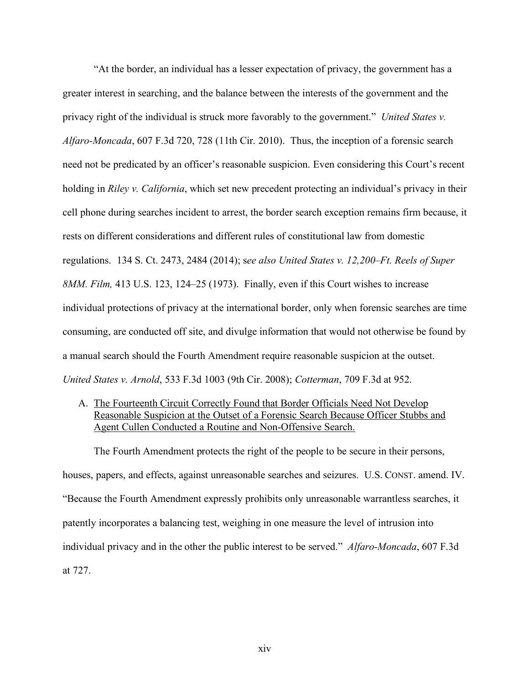"At the border, an individual has a lesser expectation of privacy, the government has a greater interest in searching, and the balance between the interests of the government and the privacy right of the individual is struck more favorably to the government." *United States v. Alfaro-Moncada*, 607 F.3d 720, 728 (11th Cir. 2010). Thus, the inception of a forensic search need not be predicated by an officer's reasonable suspicion. Even considering this Court's recent holding in *Riley v. California*, which set new precedent protecting an individual's privacy in their cell phone during searches incident to arrest, the border search exception remains firm because, it rests on different considerations and different rules of constitutional law from domestic regulations. 134 S. Ct. 2473, 2484 (2014); s*ee also United States v. 12,200–Ft. Reels of Super 8MM. Film,* 413 U.S. 123, 124–25 (1973). Finally, even if this Court wishes to increase individual protections of privacy at the international border, only when forensic searches are time consuming, are conducted off site, and divulge information that would not otherwise be found by a manual search should the Fourth Amendment require reasonable suspicion at the outset. *United States v. Arnold*, 533 F.3d 1003 (9th Cir. 2008); *Cotterman*, 709 F.3d at 952.

A. The Fourteenth Circuit Correctly Found that Border Officials Need Not Develop Reasonable Suspicion at the Outset of a Forensic Search Because Officer Stubbs and Agent Cullen Conducted a Routine and Non-Offensive Search.

The Fourth Amendment protects the right of the people to be secure in their persons, houses, papers, and effects, against unreasonable searches and seizures. U.S. CONST. amend. IV. "Because the Fourth Amendment expressly prohibits only unreasonable warrantless searches, it patently incorporates a balancing test, weighing in one measure the level of intrusion into individual privacy and in the other the public interest to be served." *Alfaro-Moncada*, 607 F.3d at 727.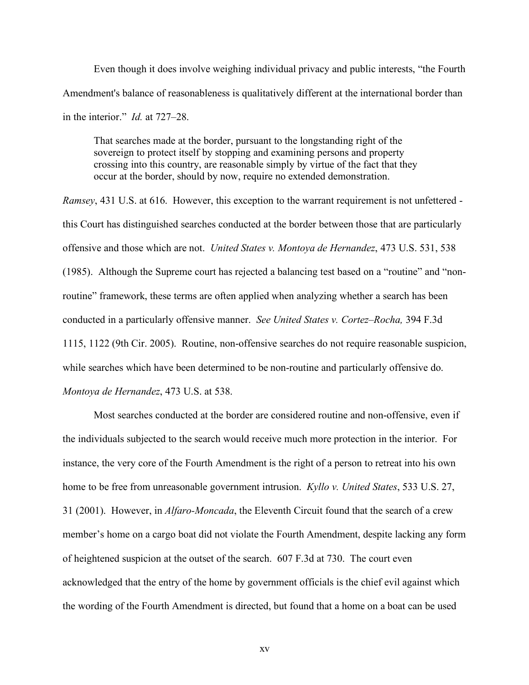Even though it does involve weighing individual privacy and public interests, "the Fourth Amendment's balance of reasonableness is qualitatively different at the international border than in the interior." *Id.* at 727–28.

That searches made at the border, pursuant to the longstanding right of the sovereign to protect itself by stopping and examining persons and property crossing into this country, are reasonable simply by virtue of the fact that they occur at the border, should by now, require no extended demonstration.

*Ramsey*, 431 U.S. at 616. However, this exception to the warrant requirement is not unfettered this Court has distinguished searches conducted at the border between those that are particularly offensive and those which are not. *United States v. Montoya de Hernandez*, 473 U.S. 531, 538 (1985). Although the Supreme court has rejected a balancing test based on a "routine" and "nonroutine" framework, these terms are often applied when analyzing whether a search has been conducted in a particularly offensive manner. *See United States v. Cortez–Rocha,* 394 F.3d 1115, 1122 (9th Cir. 2005). Routine, non-offensive searches do not require reasonable suspicion, while searches which have been determined to be non-routine and particularly offensive do. *Montoya de Hernandez*, 473 U.S. at 538.

Most searches conducted at the border are considered routine and non-offensive, even if the individuals subjected to the search would receive much more protection in the interior. For instance, the very core of the Fourth Amendment is the right of a person to retreat into his own home to be free from unreasonable government intrusion. *Kyllo v. United States*, 533 U.S. 27, 31 (2001). However, in *Alfaro-Moncada*, the Eleventh Circuit found that the search of a crew member's home on a cargo boat did not violate the Fourth Amendment, despite lacking any form of heightened suspicion at the outset of the search. 607 F.3d at 730. The court even acknowledged that the entry of the home by government officials is the chief evil against which the wording of the Fourth Amendment is directed, but found that a home on a boat can be used

xv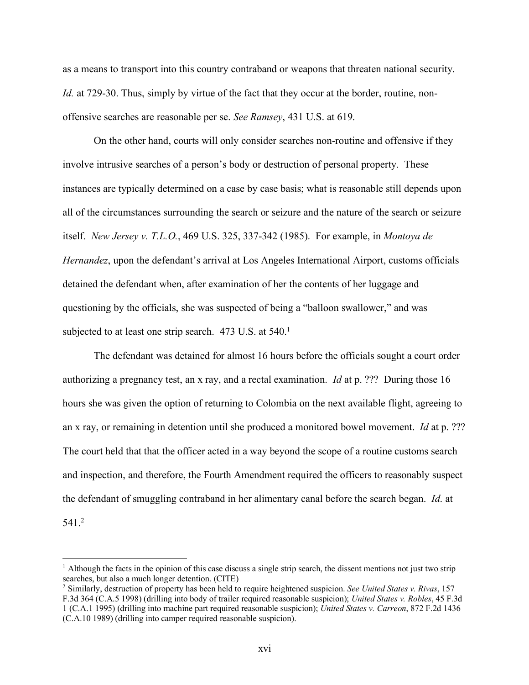as a means to transport into this country contraband or weapons that threaten national security. *Id.* at 729-30. Thus, simply by virtue of the fact that they occur at the border, routine, nonoffensive searches are reasonable per se. *See Ramsey*, 431 U.S. at 619.

On the other hand, courts will only consider searches non-routine and offensive if they involve intrusive searches of a person's body or destruction of personal property. These instances are typically determined on a case by case basis; what is reasonable still depends upon all of the circumstances surrounding the search or seizure and the nature of the search or seizure itself. *New Jersey v. T.L.O.*, 469 U.S. 325, 337-342 (1985). For example, in *Montoya de Hernandez*, upon the defendant's arrival at Los Angeles International Airport, customs officials detained the defendant when, after examination of her the contents of her luggage and questioning by the officials, she was suspected of being a "balloon swallower," and was subjected to at least one strip search. 473 U.S. at 540.<sup>1</sup>

The defendant was detained for almost 16 hours before the officials sought a court order authorizing a pregnancy test, an x ray, and a rectal examination. *Id* at p. ??? During those 16 hours she was given the option of returning to Colombia on the next available flight, agreeing to an x ray, or remaining in detention until she produced a monitored bowel movement. *Id* at p. ??? The court held that that the officer acted in a way beyond the scope of a routine customs search and inspection, and therefore, the Fourth Amendment required the officers to reasonably suspect the defendant of smuggling contraband in her alimentary canal before the search began. *Id*. at 541.2

<sup>&</sup>lt;sup>1</sup> Although the facts in the opinion of this case discuss a single strip search, the dissent mentions not just two strip searches, but also a much longer detention. (CITE)

<sup>2</sup> Similarly, destruction of property has been held to require heightened suspicion. *See United States v. Rivas*, 157 F.3d 364 (C.A.5 1998) (drilling into body of trailer required reasonable suspicion); *United States v. Robles*, 45 F.3d 1 (C.A.1 1995) (drilling into machine part required reasonable suspicion); *United States v. Carreon*, 872 F.2d 1436 (C.A.10 1989) (drilling into camper required reasonable suspicion).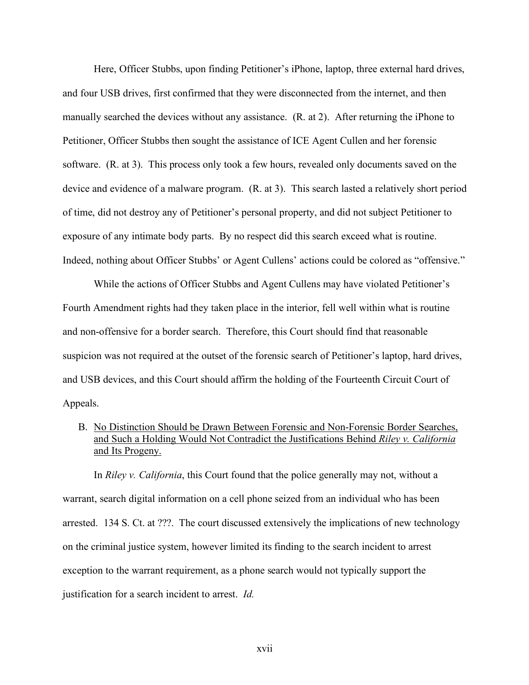Here, Officer Stubbs, upon finding Petitioner's iPhone, laptop, three external hard drives, and four USB drives, first confirmed that they were disconnected from the internet, and then manually searched the devices without any assistance. (R. at 2). After returning the iPhone to Petitioner, Officer Stubbs then sought the assistance of ICE Agent Cullen and her forensic software. (R. at 3). This process only took a few hours, revealed only documents saved on the device and evidence of a malware program. (R. at 3). This search lasted a relatively short period of time, did not destroy any of Petitioner's personal property, and did not subject Petitioner to exposure of any intimate body parts. By no respect did this search exceed what is routine. Indeed, nothing about Officer Stubbs' or Agent Cullens' actions could be colored as "offensive."

While the actions of Officer Stubbs and Agent Cullens may have violated Petitioner's Fourth Amendment rights had they taken place in the interior, fell well within what is routine and non-offensive for a border search. Therefore, this Court should find that reasonable suspicion was not required at the outset of the forensic search of Petitioner's laptop, hard drives, and USB devices, and this Court should affirm the holding of the Fourteenth Circuit Court of Appeals.

B. No Distinction Should be Drawn Between Forensic and Non-Forensic Border Searches, and Such a Holding Would Not Contradict the Justifications Behind *Riley v. California* and Its Progeny.

In *Riley v. California*, this Court found that the police generally may not, without a warrant, search digital information on a cell phone seized from an individual who has been arrested. 134 S. Ct. at ???. The court discussed extensively the implications of new technology on the criminal justice system, however limited its finding to the search incident to arrest exception to the warrant requirement, as a phone search would not typically support the justification for a search incident to arrest. *Id.*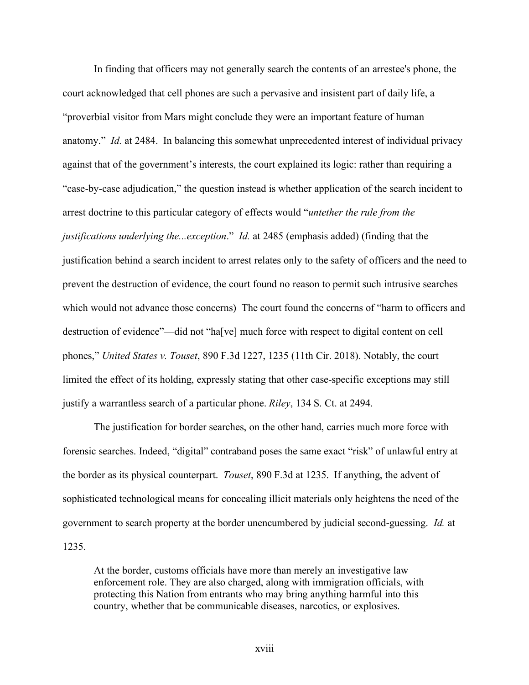In finding that officers may not generally search the contents of an arrestee's phone, the court acknowledged that cell phones are such a pervasive and insistent part of daily life, a "proverbial visitor from Mars might conclude they were an important feature of human anatomy." *Id.* at 2484. In balancing this somewhat unprecedented interest of individual privacy against that of the government's interests, the court explained its logic: rather than requiring a "case-by-case adjudication," the question instead is whether application of the search incident to arrest doctrine to this particular category of effects would "*untether the rule from the justifications underlying the...exception*." *Id.* at 2485 (emphasis added) (finding that the justification behind a search incident to arrest relates only to the safety of officers and the need to prevent the destruction of evidence, the court found no reason to permit such intrusive searches which would not advance those concerns) The court found the concerns of "harm to officers and destruction of evidence"—did not "ha[ve] much force with respect to digital content on cell phones," *United States v. Touset*, 890 F.3d 1227, 1235 (11th Cir. 2018). Notably, the court limited the effect of its holding, expressly stating that other case-specific exceptions may still justify a warrantless search of a particular phone. *Riley*, 134 S. Ct. at 2494.

The justification for border searches, on the other hand, carries much more force with forensic searches. Indeed, "digital" contraband poses the same exact "risk" of unlawful entry at the border as its physical counterpart. *Touset*, 890 F.3d at 1235. If anything, the advent of sophisticated technological means for concealing illicit materials only heightens the need of the government to search property at the border unencumbered by judicial second-guessing. *Id.* at 1235.

At the border, customs officials have more than merely an investigative law enforcement role. They are also charged, along with immigration officials, with protecting this Nation from entrants who may bring anything harmful into this country, whether that be communicable diseases, narcotics, or explosives.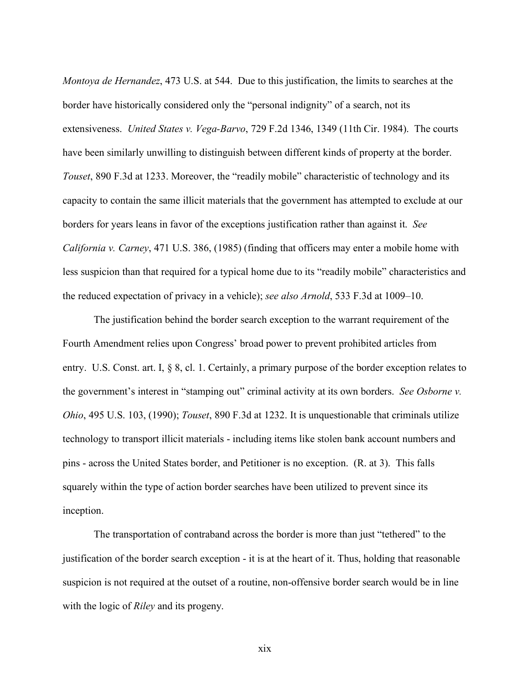*Montoya de Hernandez*, 473 U.S. at 544. Due to this justification, the limits to searches at the border have historically considered only the "personal indignity" of a search, not its extensiveness. *United States v. Vega-Barvo*, 729 F.2d 1346, 1349 (11th Cir. 1984). The courts have been similarly unwilling to distinguish between different kinds of property at the border. *Touset*, 890 F.3d at 1233. Moreover, the "readily mobile" characteristic of technology and its capacity to contain the same illicit materials that the government has attempted to exclude at our borders for years leans in favor of the exceptions justification rather than against it. *See California v. Carney*, 471 U.S. 386, (1985) (finding that officers may enter a mobile home with less suspicion than that required for a typical home due to its "readily mobile" characteristics and the reduced expectation of privacy in a vehicle); *see also Arnold*, 533 F.3d at 1009–10.

The justification behind the border search exception to the warrant requirement of the Fourth Amendment relies upon Congress' broad power to prevent prohibited articles from entry. U.S. Const. art. I, § 8, cl. 1. Certainly, a primary purpose of the border exception relates to the government's interest in "stamping out" criminal activity at its own borders. *See Osborne v. Ohio*, 495 U.S. 103, (1990); *Touset*, 890 F.3d at 1232. It is unquestionable that criminals utilize technology to transport illicit materials - including items like stolen bank account numbers and pins - across the United States border, and Petitioner is no exception. (R. at 3). This falls squarely within the type of action border searches have been utilized to prevent since its inception.

The transportation of contraband across the border is more than just "tethered" to the justification of the border search exception - it is at the heart of it. Thus, holding that reasonable suspicion is not required at the outset of a routine, non-offensive border search would be in line with the logic of *Riley* and its progeny.

xix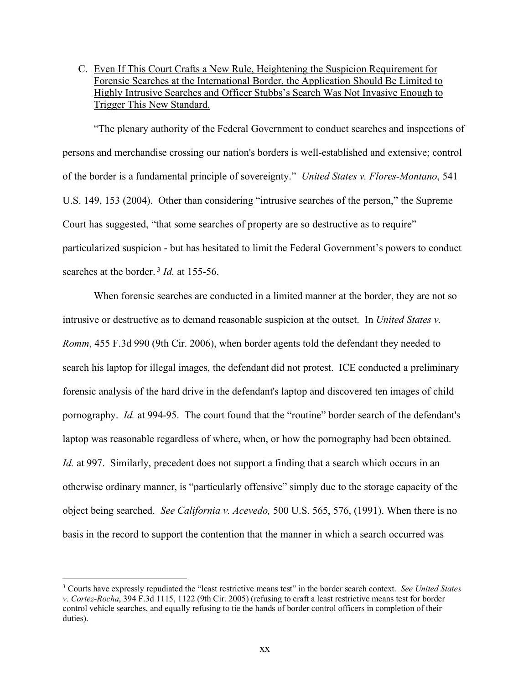C. Even If This Court Crafts a New Rule, Heightening the Suspicion Requirement for Forensic Searches at the International Border, the Application Should Be Limited to Highly Intrusive Searches and Officer Stubbs's Search Was Not Invasive Enough to Trigger This New Standard.

"The plenary authority of the Federal Government to conduct searches and inspections of persons and merchandise crossing our nation's borders is well-established and extensive; control of the border is a fundamental principle of sovereignty." *United States v. Flores-Montano*, 541 U.S. 149, 153 (2004). Other than considering "intrusive searches of the person," the Supreme Court has suggested, "that some searches of property are so destructive as to require" particularized suspicion - but has hesitated to limit the Federal Government's powers to conduct searches at the border.<sup>3</sup> *Id.* at 155-56.

When forensic searches are conducted in a limited manner at the border, they are not so intrusive or destructive as to demand reasonable suspicion at the outset. In *United States v. Romm*, 455 F.3d 990 (9th Cir. 2006), when border agents told the defendant they needed to search his laptop for illegal images, the defendant did not protest. ICE conducted a preliminary forensic analysis of the hard drive in the defendant's laptop and discovered ten images of child pornography. *Id.* at 994-95. The court found that the "routine" border search of the defendant's laptop was reasonable regardless of where, when, or how the pornography had been obtained. *Id.* at 997. Similarly, precedent does not support a finding that a search which occurs in an otherwise ordinary manner, is "particularly offensive" simply due to the storage capacity of the object being searched. *See California v. Acevedo,* 500 U.S. 565, 576, (1991). When there is no basis in the record to support the contention that the manner in which a search occurred was

 <sup>3</sup> Courts have expressly repudiated the "least restrictive means test" in the border search context. *See United States v. Cortez-Rocha*, 394 F.3d 1115, 1122 (9th Cir. 2005) (refusing to craft a least restrictive means test for border control vehicle searches, and equally refusing to tie the hands of border control officers in completion of their duties).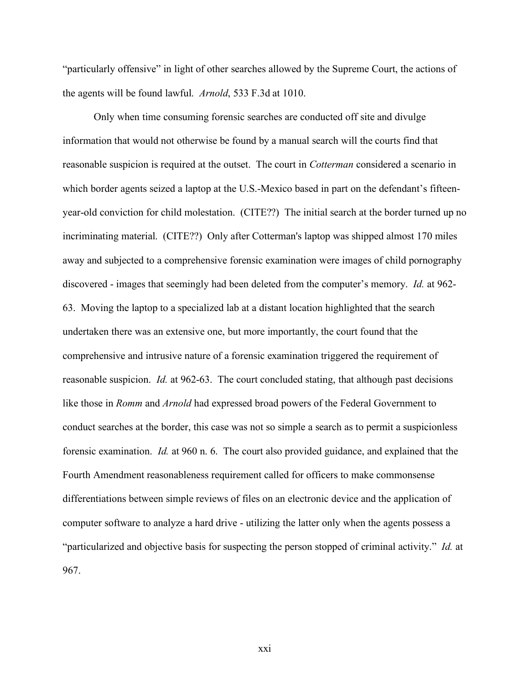"particularly offensive" in light of other searches allowed by the Supreme Court, the actions of the agents will be found lawful. *Arnold*, 533 F.3d at 1010.

Only when time consuming forensic searches are conducted off site and divulge information that would not otherwise be found by a manual search will the courts find that reasonable suspicion is required at the outset. The court in *Cotterman* considered a scenario in which border agents seized a laptop at the U.S.-Mexico based in part on the defendant's fifteenyear-old conviction for child molestation. (CITE??) The initial search at the border turned up no incriminating material. (CITE??) Only after Cotterman's laptop was shipped almost 170 miles away and subjected to a comprehensive forensic examination were images of child pornography discovered - images that seemingly had been deleted from the computer's memory. *Id.* at 962- 63. Moving the laptop to a specialized lab at a distant location highlighted that the search undertaken there was an extensive one, but more importantly, the court found that the comprehensive and intrusive nature of a forensic examination triggered the requirement of reasonable suspicion. *Id.* at 962-63. The court concluded stating, that although past decisions like those in *Romm* and *Arnold* had expressed broad powers of the Federal Government to conduct searches at the border, this case was not so simple a search as to permit a suspicionless forensic examination. *Id.* at 960 n. 6. The court also provided guidance, and explained that the Fourth Amendment reasonableness requirement called for officers to make commonsense differentiations between simple reviews of files on an electronic device and the application of computer software to analyze a hard drive - utilizing the latter only when the agents possess a "particularized and objective basis for suspecting the person stopped of criminal activity." *Id.* at 967.

xxi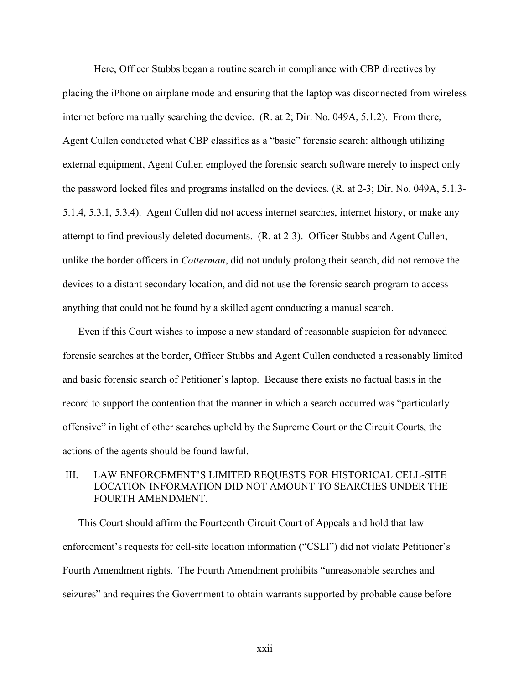Here, Officer Stubbs began a routine search in compliance with CBP directives by placing the iPhone on airplane mode and ensuring that the laptop was disconnected from wireless internet before manually searching the device. (R. at 2; Dir. No. 049A, 5.1.2). From there, Agent Cullen conducted what CBP classifies as a "basic" forensic search: although utilizing external equipment, Agent Cullen employed the forensic search software merely to inspect only the password locked files and programs installed on the devices. (R. at 2-3; Dir. No. 049A, 5.1.3- 5.1.4, 5.3.1, 5.3.4). Agent Cullen did not access internet searches, internet history, or make any attempt to find previously deleted documents. (R. at 2-3). Officer Stubbs and Agent Cullen, unlike the border officers in *Cotterman*, did not unduly prolong their search, did not remove the devices to a distant secondary location, and did not use the forensic search program to access anything that could not be found by a skilled agent conducting a manual search.

Even if this Court wishes to impose a new standard of reasonable suspicion for advanced forensic searches at the border, Officer Stubbs and Agent Cullen conducted a reasonably limited and basic forensic search of Petitioner's laptop. Because there exists no factual basis in the record to support the contention that the manner in which a search occurred was "particularly offensive" in light of other searches upheld by the Supreme Court or the Circuit Courts, the actions of the agents should be found lawful.

### III. LAW ENFORCEMENT'S LIMITED REQUESTS FOR HISTORICAL CELL-SITE LOCATION INFORMATION DID NOT AMOUNT TO SEARCHES UNDER THE FOURTH AMENDMENT.

This Court should affirm the Fourteenth Circuit Court of Appeals and hold that law enforcement's requests for cell-site location information ("CSLI") did not violate Petitioner's Fourth Amendment rights. The Fourth Amendment prohibits "unreasonable searches and seizures" and requires the Government to obtain warrants supported by probable cause before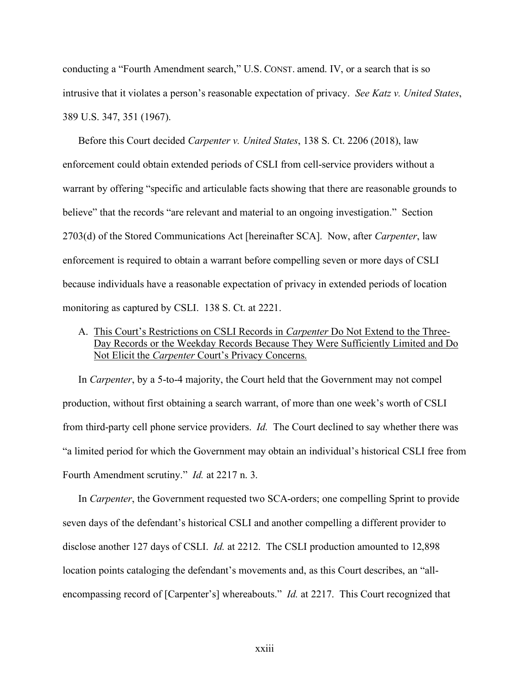conducting a "Fourth Amendment search," U.S. CONST. amend. IV, or a search that is so intrusive that it violates a person's reasonable expectation of privacy. *See Katz v. United States*, 389 U.S. 347, 351 (1967).

Before this Court decided *Carpenter v. United States*, 138 S. Ct. 2206 (2018), law enforcement could obtain extended periods of CSLI from cell-service providers without a warrant by offering "specific and articulable facts showing that there are reasonable grounds to believe" that the records "are relevant and material to an ongoing investigation." Section 2703(d) of the Stored Communications Act [hereinafter SCA]. Now, after *Carpenter*, law enforcement is required to obtain a warrant before compelling seven or more days of CSLI because individuals have a reasonable expectation of privacy in extended periods of location monitoring as captured by CSLI. 138 S. Ct. at 2221.

A. This Court's Restrictions on CSLI Records in *Carpenter* Do Not Extend to the Three-Day Records or the Weekday Records Because They Were Sufficiently Limited and Do Not Elicit the *Carpenter* Court's Privacy Concerns.

In *Carpenter*, by a 5-to-4 majority, the Court held that the Government may not compel production, without first obtaining a search warrant, of more than one week's worth of CSLI from third-party cell phone service providers. *Id.* The Court declined to say whether there was "a limited period for which the Government may obtain an individual's historical CSLI free from Fourth Amendment scrutiny." *Id.* at 2217 n. 3.

In *Carpenter*, the Government requested two SCA-orders; one compelling Sprint to provide seven days of the defendant's historical CSLI and another compelling a different provider to disclose another 127 days of CSLI. *Id.* at 2212. The CSLI production amounted to 12,898 location points cataloging the defendant's movements and, as this Court describes, an "allencompassing record of [Carpenter's] whereabouts." *Id.* at 2217.This Court recognized that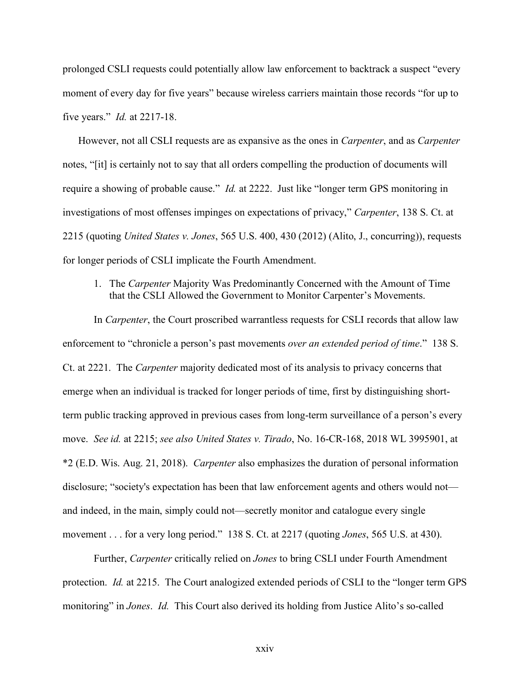prolonged CSLI requests could potentially allow law enforcement to backtrack a suspect "every moment of every day for five years" because wireless carriers maintain those records "for up to five years." *Id.* at 2217-18.

However, not all CSLI requests are as expansive as the ones in *Carpenter*, and as *Carpenter* notes, "[it] is certainly not to say that all orders compelling the production of documents will require a showing of probable cause." *Id.* at 2222. Just like "longer term GPS monitoring in investigations of most offenses impinges on expectations of privacy," *Carpenter*, 138 S. Ct. at 2215 (quoting *United States v. Jones*, 565 U.S. 400, 430 (2012) (Alito, J., concurring)), requests for longer periods of CSLI implicate the Fourth Amendment.

1. The *Carpenter* Majority Was Predominantly Concerned with the Amount of Time that the CSLI Allowed the Government to Monitor Carpenter's Movements.

In *Carpenter*, the Court proscribed warrantless requests for CSLI records that allow law enforcement to "chronicle a person's past movements *over an extended period of time*." 138 S. Ct. at 2221. The *Carpenter* majority dedicated most of its analysis to privacy concerns that emerge when an individual is tracked for longer periods of time, first by distinguishing shortterm public tracking approved in previous cases from long-term surveillance of a person's every move. *See id.* at 2215; *see also United States v. Tirado*, No. 16-CR-168, 2018 WL 3995901, at \*2 (E.D. Wis. Aug. 21, 2018). *Carpenter* also emphasizes the duration of personal information disclosure; "society's expectation has been that law enforcement agents and others would not and indeed, in the main, simply could not—secretly monitor and catalogue every single movement . . . for a very long period." 138 S. Ct. at 2217 (quoting *Jones*, 565 U.S. at 430).

Further, *Carpenter* critically relied on *Jones* to bring CSLI under Fourth Amendment protection. *Id.* at 2215. The Court analogized extended periods of CSLI to the "longer term GPS monitoring" in *Jones*. *Id.* This Court also derived its holding from Justice Alito's so-called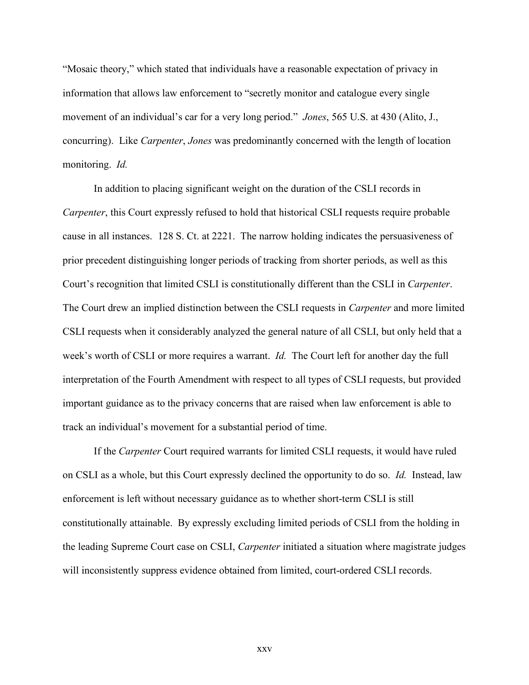"Mosaic theory," which stated that individuals have a reasonable expectation of privacy in information that allows law enforcement to "secretly monitor and catalogue every single movement of an individual's car for a very long period." *Jones*, 565 U.S. at 430 (Alito, J., concurring). Like *Carpenter*, *Jones* was predominantly concerned with the length of location monitoring. *Id.*

In addition to placing significant weight on the duration of the CSLI records in *Carpenter*, this Court expressly refused to hold that historical CSLI requests require probable cause in all instances. 128 S. Ct. at 2221. The narrow holding indicates the persuasiveness of prior precedent distinguishing longer periods of tracking from shorter periods, as well as this Court's recognition that limited CSLI is constitutionally different than the CSLI in *Carpenter*. The Court drew an implied distinction between the CSLI requests in *Carpenter* and more limited CSLI requests when it considerably analyzed the general nature of all CSLI, but only held that a week's worth of CSLI or more requires a warrant. *Id.* The Court left for another day the full interpretation of the Fourth Amendment with respect to all types of CSLI requests, but provided important guidance as to the privacy concerns that are raised when law enforcement is able to track an individual's movement for a substantial period of time.

If the *Carpenter* Court required warrants for limited CSLI requests, it would have ruled on CSLI as a whole, but this Court expressly declined the opportunity to do so. *Id.* Instead, law enforcement is left without necessary guidance as to whether short-term CSLI is still constitutionally attainable. By expressly excluding limited periods of CSLI from the holding in the leading Supreme Court case on CSLI, *Carpenter* initiated a situation where magistrate judges will inconsistently suppress evidence obtained from limited, court-ordered CSLI records.

xxv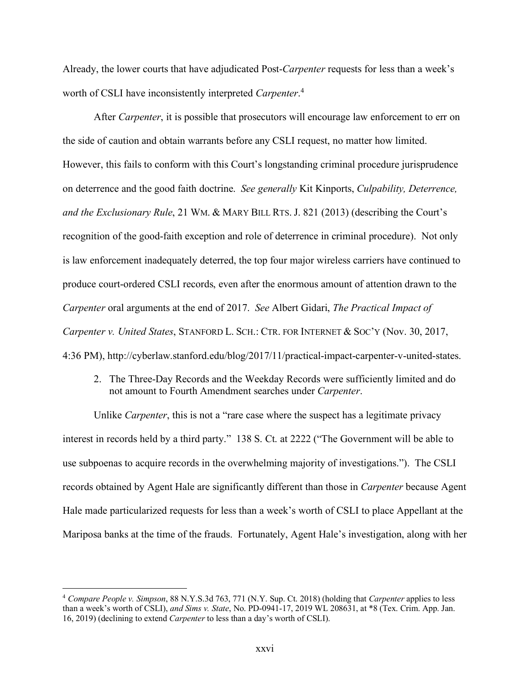Already, the lower courts that have adjudicated Post-*Carpenter* requests for less than a week's worth of CSLI have inconsistently interpreted *Carpenter*. 4

After *Carpenter*, it is possible that prosecutors will encourage law enforcement to err on the side of caution and obtain warrants before any CSLI request, no matter how limited. However, this fails to conform with this Court's longstanding criminal procedure jurisprudence on deterrence and the good faith doctrine. *See generally* Kit Kinports, *Culpability, Deterrence, and the Exclusionary Rule*, 21 WM. & MARY BILL RTS. J. 821 (2013) (describing the Court's recognition of the good-faith exception and role of deterrence in criminal procedure). Not only is law enforcement inadequately deterred, the top four major wireless carriers have continued to produce court-ordered CSLI records, even after the enormous amount of attention drawn to the *Carpenter* oral arguments at the end of 2017. *See* Albert Gidari, *The Practical Impact of Carpenter v. United States*, STANFORD L. SCH.: CTR. FOR INTERNET & SOC'Y (Nov. 30, 2017, 4:36 PM), http://cyberlaw.stanford.edu/blog/2017/11/practical-impact-carpenter-v-united-states.

2. The Three-Day Records and the Weekday Records were sufficiently limited and do not amount to Fourth Amendment searches under *Carpenter*.

Unlike *Carpenter*, this is not a "rare case where the suspect has a legitimate privacy interest in records held by a third party." 138 S. Ct. at 2222 ("The Government will be able to use subpoenas to acquire records in the overwhelming majority of investigations."). The CSLI records obtained by Agent Hale are significantly different than those in *Carpenter* because Agent Hale made particularized requests for less than a week's worth of CSLI to place Appellant at the Mariposa banks at the time of the frauds. Fortunately, Agent Hale's investigation, along with her

 <sup>4</sup> *Compare People v. Simpson*, 88 N.Y.S.3d 763, 771 (N.Y. Sup. Ct. 2018) (holding that *Carpenter* applies to less than a week's worth of CSLI), *and Sims v. State*, No. PD-0941-17, 2019 WL 208631, at \*8 (Tex. Crim. App. Jan. 16, 2019) (declining to extend *Carpenter* to less than a day's worth of CSLI).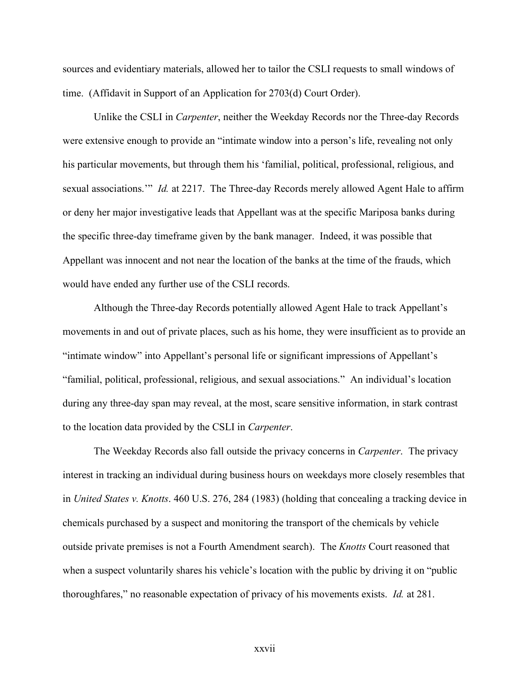sources and evidentiary materials, allowed her to tailor the CSLI requests to small windows of time. (Affidavit in Support of an Application for 2703(d) Court Order).

Unlike the CSLI in *Carpenter*, neither the Weekday Records nor the Three-day Records were extensive enough to provide an "intimate window into a person's life, revealing not only his particular movements, but through them his 'familial, political, professional, religious, and sexual associations.'" *Id.* at 2217. The Three-day Records merely allowed Agent Hale to affirm or deny her major investigative leads that Appellant was at the specific Mariposa banks during the specific three-day timeframe given by the bank manager. Indeed, it was possible that Appellant was innocent and not near the location of the banks at the time of the frauds, which would have ended any further use of the CSLI records.

Although the Three-day Records potentially allowed Agent Hale to track Appellant's movements in and out of private places, such as his home, they were insufficient as to provide an "intimate window" into Appellant's personal life or significant impressions of Appellant's "familial, political, professional, religious, and sexual associations." An individual's location during any three-day span may reveal, at the most, scare sensitive information, in stark contrast to the location data provided by the CSLI in *Carpenter*.

The Weekday Records also fall outside the privacy concerns in *Carpenter*. The privacy interest in tracking an individual during business hours on weekdays more closely resembles that in *United States v. Knotts*. 460 U.S. 276, 284 (1983) (holding that concealing a tracking device in chemicals purchased by a suspect and monitoring the transport of the chemicals by vehicle outside private premises is not a Fourth Amendment search). The *Knotts* Court reasoned that when a suspect voluntarily shares his vehicle's location with the public by driving it on "public thoroughfares," no reasonable expectation of privacy of his movements exists. *Id.* at 281.

xxvii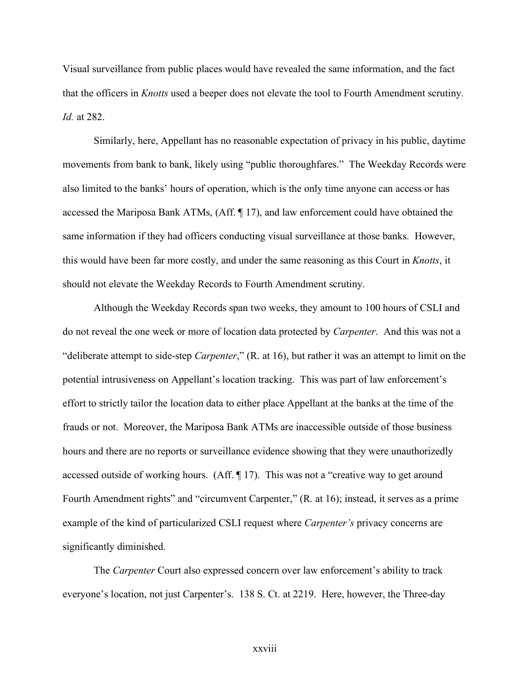Visual surveillance from public places would have revealed the same information, and the fact that the officers in *Knotts* used a beeper does not elevate the tool to Fourth Amendment scrutiny. *Id.* at 282.

Similarly, here, Appellant has no reasonable expectation of privacy in his public, daytime movements from bank to bank, likely using "public thoroughfares." The Weekday Records were also limited to the banks' hours of operation, which is the only time anyone can access or has accessed the Mariposa Bank ATMs, (Aff. ¶ 17), and law enforcement could have obtained the same information if they had officers conducting visual surveillance at those banks. However, this would have been far more costly, and under the same reasoning as this Court in *Knotts*, it should not elevate the Weekday Records to Fourth Amendment scrutiny.

Although the Weekday Records span two weeks, they amount to 100 hours of CSLI and do not reveal the one week or more of location data protected by *Carpenter*. And this was not a "deliberate attempt to side-step *Carpenter*," (R. at 16), but rather it was an attempt to limit on the potential intrusiveness on Appellant's location tracking. This was part of law enforcement's effort to strictly tailor the location data to either place Appellant at the banks at the time of the frauds or not. Moreover, the Mariposa Bank ATMs are inaccessible outside of those business hours and there are no reports or surveillance evidence showing that they were unauthorizedly accessed outside of working hours. (Aff. ¶ 17). This was not a "creative way to get around Fourth Amendment rights" and "circumvent Carpenter," (R. at 16); instead, it serves as a prime example of the kind of particularized CSLI request where *Carpenter's* privacy concerns are significantly diminished.

The *Carpenter* Court also expressed concern over law enforcement's ability to track everyone's location, not just Carpenter's. 138 S. Ct. at 2219. Here, however, the Three-day

xxviii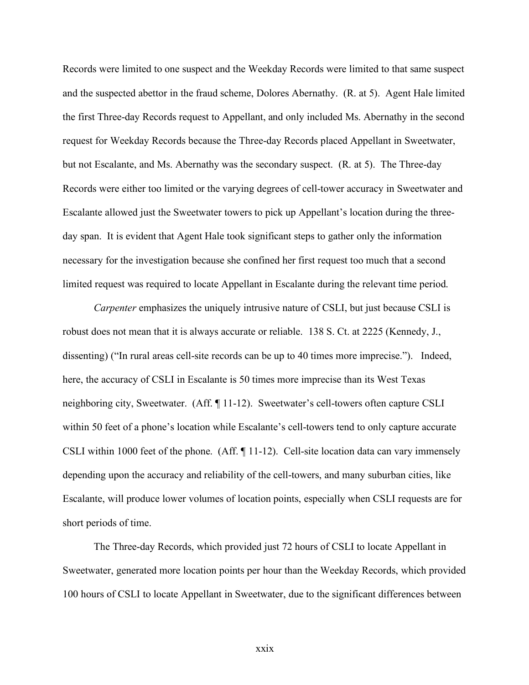Records were limited to one suspect and the Weekday Records were limited to that same suspect and the suspected abettor in the fraud scheme, Dolores Abernathy. (R. at 5). Agent Hale limited the first Three-day Records request to Appellant, and only included Ms. Abernathy in the second request for Weekday Records because the Three-day Records placed Appellant in Sweetwater, but not Escalante, and Ms. Abernathy was the secondary suspect. (R. at 5). The Three-day Records were either too limited or the varying degrees of cell-tower accuracy in Sweetwater and Escalante allowed just the Sweetwater towers to pick up Appellant's location during the threeday span. It is evident that Agent Hale took significant steps to gather only the information necessary for the investigation because she confined her first request too much that a second limited request was required to locate Appellant in Escalante during the relevant time period.

*Carpenter* emphasizes the uniquely intrusive nature of CSLI, but just because CSLI is robust does not mean that it is always accurate or reliable. 138 S. Ct. at 2225 (Kennedy, J., dissenting) ("In rural areas cell-site records can be up to 40 times more imprecise."). Indeed, here, the accuracy of CSLI in Escalante is 50 times more imprecise than its West Texas neighboring city, Sweetwater. (Aff. ¶ 11-12). Sweetwater's cell-towers often capture CSLI within 50 feet of a phone's location while Escalante's cell-towers tend to only capture accurate CSLI within 1000 feet of the phone. (Aff. ¶ 11-12). Cell-site location data can vary immensely depending upon the accuracy and reliability of the cell-towers, and many suburban cities, like Escalante, will produce lower volumes of location points, especially when CSLI requests are for short periods of time.

The Three-day Records, which provided just 72 hours of CSLI to locate Appellant in Sweetwater, generated more location points per hour than the Weekday Records, which provided 100 hours of CSLI to locate Appellant in Sweetwater, due to the significant differences between

xxix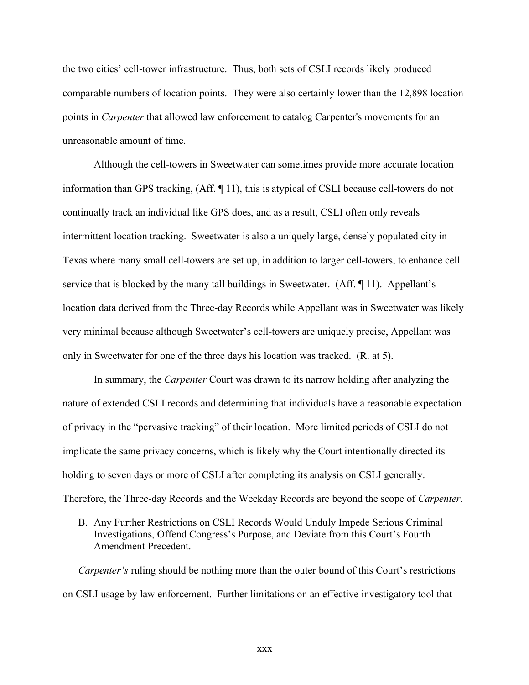the two cities' cell-tower infrastructure. Thus, both sets of CSLI records likely produced comparable numbers of location points. They were also certainly lower than the 12,898 location points in *Carpenter* that allowed law enforcement to catalog Carpenter's movements for an unreasonable amount of time.

Although the cell-towers in Sweetwater can sometimes provide more accurate location information than GPS tracking, (Aff. ¶ 11), this is atypical of CSLI because cell-towers do not continually track an individual like GPS does, and as a result, CSLI often only reveals intermittent location tracking. Sweetwater is also a uniquely large, densely populated city in Texas where many small cell-towers are set up, in addition to larger cell-towers, to enhance cell service that is blocked by the many tall buildings in Sweetwater. (Aff. 11). Appellant's location data derived from the Three-day Records while Appellant was in Sweetwater was likely very minimal because although Sweetwater's cell-towers are uniquely precise, Appellant was only in Sweetwater for one of the three days his location was tracked. (R. at 5).

In summary, the *Carpenter* Court was drawn to its narrow holding after analyzing the nature of extended CSLI records and determining that individuals have a reasonable expectation of privacy in the "pervasive tracking" of their location. More limited periods of CSLI do not implicate the same privacy concerns, which is likely why the Court intentionally directed its holding to seven days or more of CSLI after completing its analysis on CSLI generally. Therefore, the Three-day Records and the Weekday Records are beyond the scope of *Carpenter*.

### B. Any Further Restrictions on CSLI Records Would Unduly Impede Serious Criminal Investigations, Offend Congress's Purpose, and Deviate from this Court's Fourth Amendment Precedent.

*Carpenter's* ruling should be nothing more than the outer bound of this Court's restrictions on CSLI usage by law enforcement. Further limitations on an effective investigatory tool that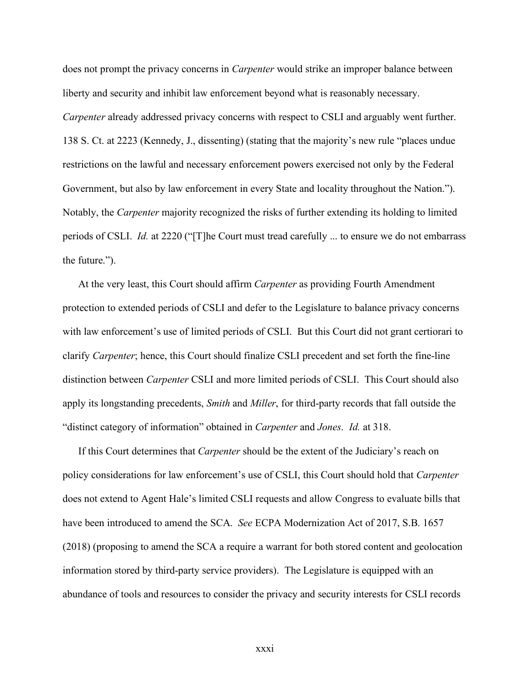does not prompt the privacy concerns in *Carpenter* would strike an improper balance between liberty and security and inhibit law enforcement beyond what is reasonably necessary. *Carpenter* already addressed privacy concerns with respect to CSLI and arguably went further. 138 S. Ct. at 2223 (Kennedy, J., dissenting) (stating that the majority's new rule "places undue restrictions on the lawful and necessary enforcement powers exercised not only by the Federal Government, but also by law enforcement in every State and locality throughout the Nation."). Notably, the *Carpenter* majority recognized the risks of further extending its holding to limited periods of CSLI. *Id.* at 2220 ("[T]he Court must tread carefully ... to ensure we do not embarrass the future.").

At the very least, this Court should affirm *Carpenter* as providing Fourth Amendment protection to extended periods of CSLI and defer to the Legislature to balance privacy concerns with law enforcement's use of limited periods of CSLI. But this Court did not grant certiorari to clarify *Carpenter*; hence, this Court should finalize CSLI precedent and set forth the fine-line distinction between *Carpenter* CSLI and more limited periods of CSLI. This Court should also apply its longstanding precedents, *Smith* and *Miller*, for third-party records that fall outside the "distinct category of information" obtained in *Carpenter* and *Jones*. *Id.* at 318.

If this Court determines that *Carpenter* should be the extent of the Judiciary's reach on policy considerations for law enforcement's use of CSLI, this Court should hold that *Carpenter* does not extend to Agent Hale's limited CSLI requests and allow Congress to evaluate bills that have been introduced to amend the SCA. *See* ECPA Modernization Act of 2017, S.B. 1657 (2018) (proposing to amend the SCA a require a warrant for both stored content and geolocation information stored by third-party service providers). The Legislature is equipped with an abundance of tools and resources to consider the privacy and security interests for CSLI records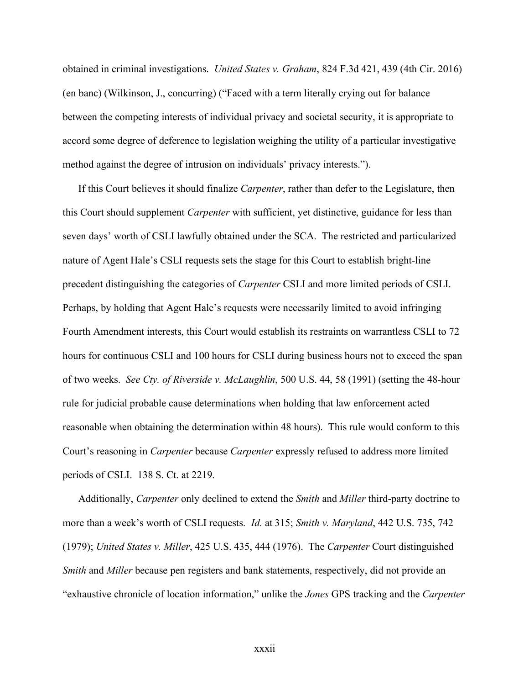obtained in criminal investigations. *United States v. Graham*, 824 F.3d 421, 439 (4th Cir. 2016) (en banc) (Wilkinson, J., concurring) ("Faced with a term literally crying out for balance between the competing interests of individual privacy and societal security, it is appropriate to accord some degree of deference to legislation weighing the utility of a particular investigative method against the degree of intrusion on individuals' privacy interests.").

If this Court believes it should finalize *Carpenter*, rather than defer to the Legislature, then this Court should supplement *Carpenter* with sufficient, yet distinctive, guidance for less than seven days' worth of CSLI lawfully obtained under the SCA. The restricted and particularized nature of Agent Hale's CSLI requests sets the stage for this Court to establish bright-line precedent distinguishing the categories of *Carpenter* CSLI and more limited periods of CSLI. Perhaps, by holding that Agent Hale's requests were necessarily limited to avoid infringing Fourth Amendment interests, this Court would establish its restraints on warrantless CSLI to 72 hours for continuous CSLI and 100 hours for CSLI during business hours not to exceed the span of two weeks. *See Cty. of Riverside v. McLaughlin*, 500 U.S. 44, 58 (1991) (setting the 48-hour rule for judicial probable cause determinations when holding that law enforcement acted reasonable when obtaining the determination within 48 hours). This rule would conform to this Court's reasoning in *Carpenter* because *Carpenter* expressly refused to address more limited periods of CSLI. 138 S. Ct. at 2219.

Additionally, *Carpenter* only declined to extend the *Smith* and *Miller* third-party doctrine to more than a week's worth of CSLI requests. *Id.* at 315; *Smith v. Maryland*, 442 U.S. 735, 742 (1979); *United States v. Miller*, 425 U.S. 435, 444 (1976). The *Carpenter* Court distinguished *Smith* and *Miller* because pen registers and bank statements, respectively, did not provide an "exhaustive chronicle of location information," unlike the *Jones* GPS tracking and the *Carpenter*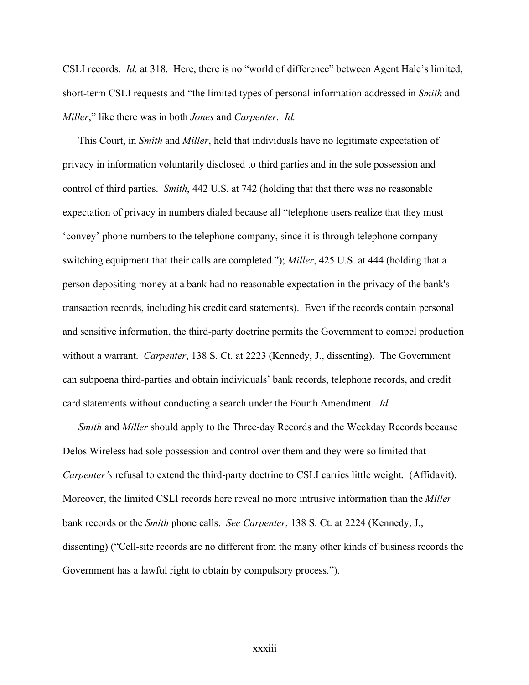CSLI records. *Id.* at 318. Here, there is no "world of difference" between Agent Hale's limited, short-term CSLI requests and "the limited types of personal information addressed in *Smith* and *Miller*," like there was in both *Jones* and *Carpenter*. *Id.* 

This Court, in *Smith* and *Miller*, held that individuals have no legitimate expectation of privacy in information voluntarily disclosed to third parties and in the sole possession and control of third parties. *Smith*, 442 U.S. at 742 (holding that that there was no reasonable expectation of privacy in numbers dialed because all "telephone users realize that they must 'convey' phone numbers to the telephone company, since it is through telephone company switching equipment that their calls are completed."); *Miller*, 425 U.S. at 444 (holding that a person depositing money at a bank had no reasonable expectation in the privacy of the bank's transaction records, including his credit card statements). Even if the records contain personal and sensitive information, the third-party doctrine permits the Government to compel production without a warrant. *Carpenter*, 138 S. Ct. at 2223 (Kennedy, J., dissenting). The Government can subpoena third-parties and obtain individuals' bank records, telephone records, and credit card statements without conducting a search under the Fourth Amendment. *Id.*

*Smith* and *Miller* should apply to the Three-day Records and the Weekday Records because Delos Wireless had sole possession and control over them and they were so limited that *Carpenter's* refusal to extend the third-party doctrine to CSLI carries little weight. (Affidavit). Moreover, the limited CSLI records here reveal no more intrusive information than the *Miller* bank records or the *Smith* phone calls. *See Carpenter*, 138 S. Ct. at 2224 (Kennedy, J., dissenting) ("Cell-site records are no different from the many other kinds of business records the Government has a lawful right to obtain by compulsory process.").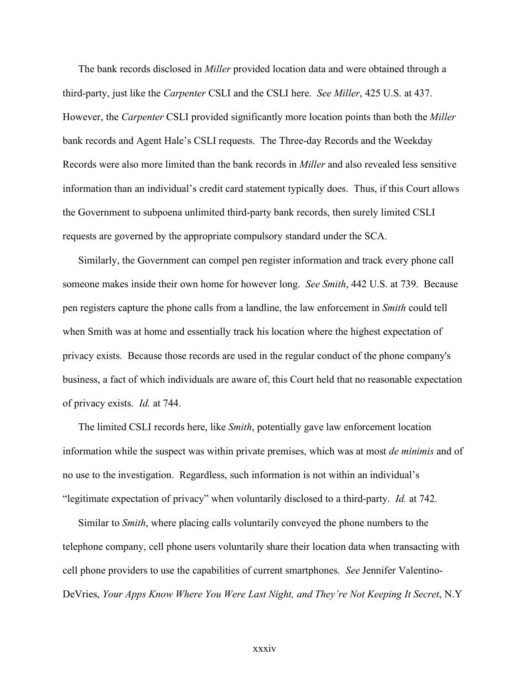The bank records disclosed in *Miller* provided location data and were obtained through a third-party, just like the *Carpenter* CSLI and the CSLI here. *See Miller*, 425 U.S. at 437. However, the *Carpenter* CSLI provided significantly more location points than both the *Miller* bank records and Agent Hale's CSLI requests. The Three-day Records and the Weekday Records were also more limited than the bank records in *Miller* and also revealed less sensitive information than an individual's credit card statement typically does. Thus, if this Court allows the Government to subpoena unlimited third-party bank records, then surely limited CSLI requests are governed by the appropriate compulsory standard under the SCA.

Similarly, the Government can compel pen register information and track every phone call someone makes inside their own home for however long. *See Smith*, 442 U.S. at 739. Because pen registers capture the phone calls from a landline, the law enforcement in *Smith* could tell when Smith was at home and essentially track his location where the highest expectation of privacy exists. Because those records are used in the regular conduct of the phone company's business, a fact of which individuals are aware of, this Court held that no reasonable expectation of privacy exists. *Id.* at 744.

The limited CSLI records here, like *Smith*, potentially gave law enforcement location information while the suspect was within private premises, which was at most *de minimis* and of no use to the investigation. Regardless, such information is not within an individual's "legitimate expectation of privacy" when voluntarily disclosed to a third-party. *Id.* at 742.

Similar to *Smith*, where placing calls voluntarily conveyed the phone numbers to the telephone company, cell phone users voluntarily share their location data when transacting with cell phone providers to use the capabilities of current smartphones. *See* Jennifer Valentino-DeVries, *Your Apps Know Where You Were Last Night, and They're Not Keeping It Secret*, N.Y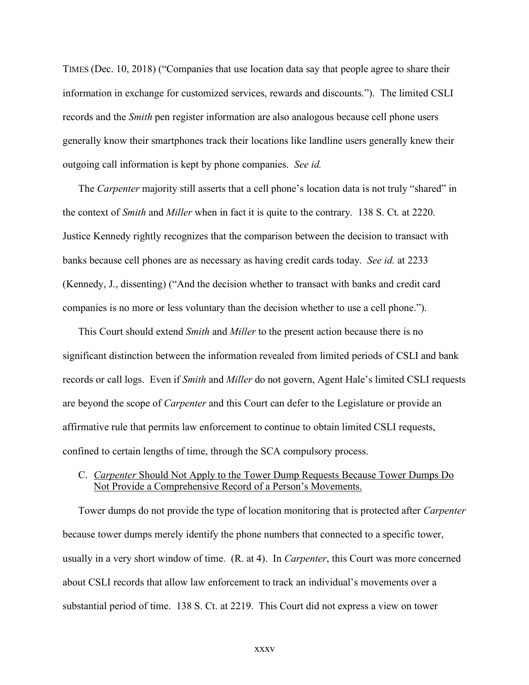TIMES (Dec. 10, 2018) ("Companies that use location data say that people agree to share their information in exchange for customized services, rewards and discounts."). The limited CSLI records and the *Smith* pen register information are also analogous because cell phone users generally know their smartphones track their locations like landline users generally knew their outgoing call information is kept by phone companies. *See id.*

The *Carpenter* majority still asserts that a cell phone's location data is not truly "shared" in the context of *Smith* and *Miller* when in fact it is quite to the contrary. 138 S. Ct. at 2220. Justice Kennedy rightly recognizes that the comparison between the decision to transact with banks because cell phones are as necessary as having credit cards today. *See id.* at 2233 (Kennedy, J., dissenting) ("And the decision whether to transact with banks and credit card companies is no more or less voluntary than the decision whether to use a cell phone.").

This Court should extend *Smith* and *Miller* to the present action because there is no significant distinction between the information revealed from limited periods of CSLI and bank records or call logs. Even if *Smith* and *Miller* do not govern, Agent Hale's limited CSLI requests are beyond the scope of *Carpenter* and this Court can defer to the Legislature or provide an affirmative rule that permits law enforcement to continue to obtain limited CSLI requests, confined to certain lengths of time, through the SCA compulsory process.

### C. *Carpenter* Should Not Apply to the Tower Dump Requests Because Tower Dumps Do Not Provide a Comprehensive Record of a Person's Movements.

Tower dumps do not provide the type of location monitoring that is protected after *Carpenter* because tower dumps merely identify the phone numbers that connected to a specific tower, usually in a very short window of time. (R. at 4). In *Carpenter*, this Court was more concerned about CSLI records that allow law enforcement to track an individual's movements over a substantial period of time. 138 S. Ct. at 2219. This Court did not express a view on tower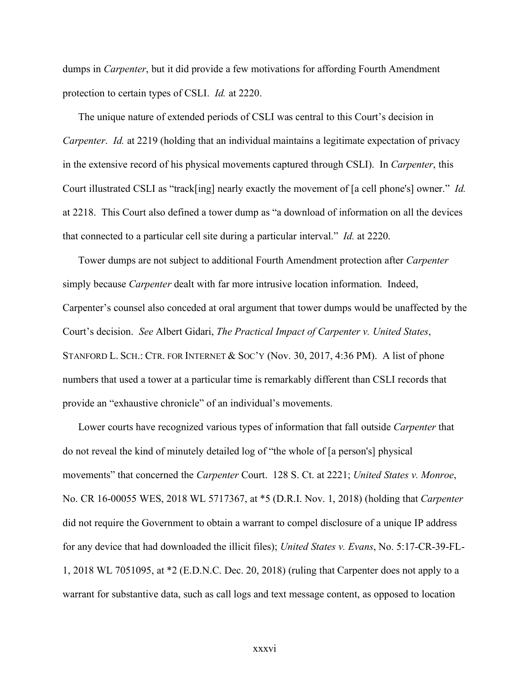dumps in *Carpenter*, but it did provide a few motivations for affording Fourth Amendment protection to certain types of CSLI. *Id.* at 2220.

The unique nature of extended periods of CSLI was central to this Court's decision in *Carpenter. Id.* at 2219 (holding that an individual maintains a legitimate expectation of privacy in the extensive record of his physical movements captured through CSLI). In *Carpenter*, this Court illustrated CSLI as "track[ing] nearly exactly the movement of [a cell phone's] owner." *Id.* at 2218. This Court also defined a tower dump as "a download of information on all the devices that connected to a particular cell site during a particular interval." *Id.* at 2220.

Tower dumps are not subject to additional Fourth Amendment protection after *Carpenter* simply because *Carpenter* dealt with far more intrusive location information. Indeed, Carpenter's counsel also conceded at oral argument that tower dumps would be unaffected by the Court's decision. *See* Albert Gidari, *The Practical Impact of Carpenter v. United States*, STANFORD L. SCH.: CTR. FOR INTERNET & SOC'Y (Nov. 30, 2017, 4:36 PM). A list of phone numbers that used a tower at a particular time is remarkably different than CSLI records that provide an "exhaustive chronicle" of an individual's movements.

Lower courts have recognized various types of information that fall outside *Carpenter* that do not reveal the kind of minutely detailed log of "the whole of [a person's] physical movements" that concerned the *Carpenter* Court. 128 S. Ct. at 2221; *United States v. Monroe*, No. CR 16-00055 WES, 2018 WL 5717367, at \*5 (D.R.I. Nov. 1, 2018) (holding that *Carpenter* did not require the Government to obtain a warrant to compel disclosure of a unique IP address for any device that had downloaded the illicit files); *United States v. Evans*, No. 5:17-CR-39-FL-1, 2018 WL 7051095, at \*2 (E.D.N.C. Dec. 20, 2018) (ruling that Carpenter does not apply to a warrant for substantive data, such as call logs and text message content, as opposed to location